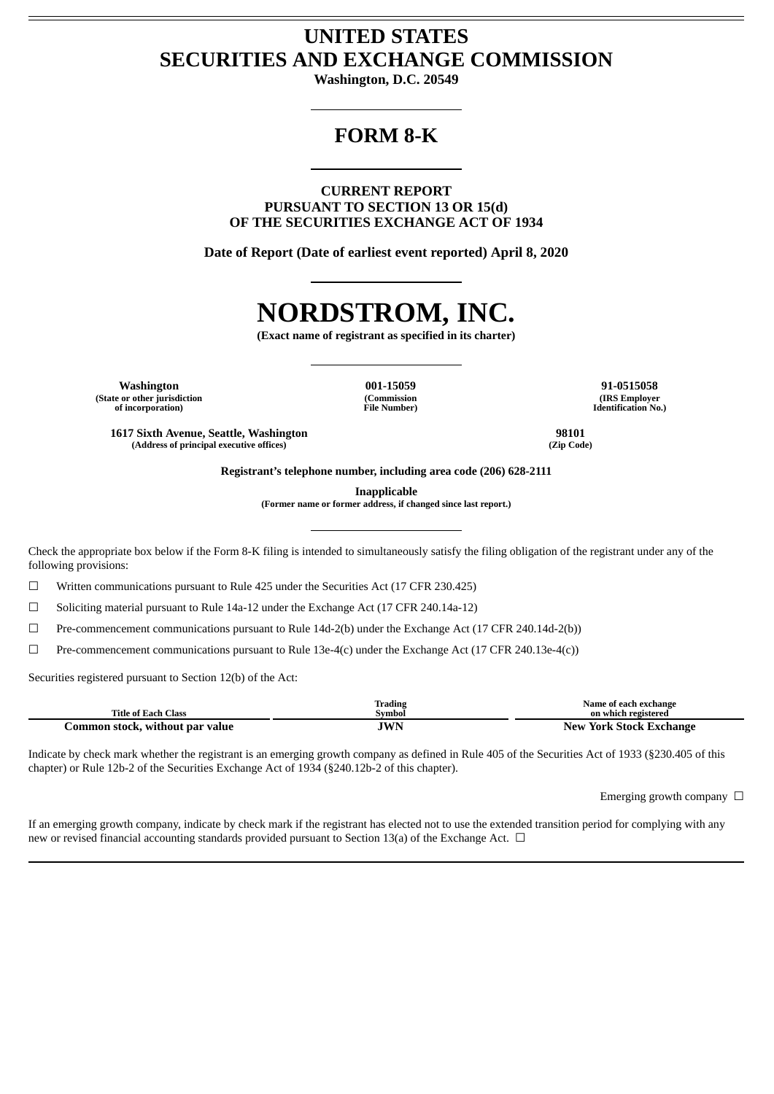# **UNITED STATES SECURITIES AND EXCHANGE COMMISSION**

**Washington, D.C. 20549**

# **FORM 8-K**

**CURRENT REPORT PURSUANT TO SECTION 13 OR 15(d) OF THE SECURITIES EXCHANGE ACT OF 1934**

**Date of Report (Date of earliest event reported) April 8, 2020**



**(Exact name of registrant as specified in its charter)**

**Washington 001-15059 91-0515058 (State or other jurisdiction of incorporation)**

**(Commission File Number)**

**(IRS Employer Identification No.)**

**1617 Sixth Avenue, Seattle, Washington 98101**  $(A$ ddress of principal executive offices)

**Registrant's telephone number, including area code (206) 628-2111**

**Inapplicable**

**(Former name or former address, if changed since last report.)**

Check the appropriate box below if the Form 8-K filing is intended to simultaneously satisfy the filing obligation of the registrant under any of the following provisions:

 $\Box$  Written communications pursuant to Rule 425 under the Securities Act (17 CFR 230.425)

☐ Soliciting material pursuant to Rule 14a-12 under the Exchange Act (17 CFR 240.14a-12)

☐ Pre-commencement communications pursuant to Rule 14d-2(b) under the Exchange Act (17 CFR 240.14d-2(b))

 $\Box$  Pre-commencement communications pursuant to Rule 13e-4(c) under the Exchange Act (17 CFR 240.13e-4(c))

Securities registered pursuant to Section 12(b) of the Act:

| <b>Title of Each Class</b>      | Trading<br>Symbol | Name of each exchange<br>on which registered |
|---------------------------------|-------------------|----------------------------------------------|
|                                 |                   |                                              |
| Common stock, without par value | JWN               | <b>New York Stock Exchange</b>               |

Indicate by check mark whether the registrant is an emerging growth company as defined in Rule 405 of the Securities Act of 1933 (§230.405 of this chapter) or Rule 12b-2 of the Securities Exchange Act of 1934 (§240.12b-2 of this chapter).

Emerging growth company  $\Box$ 

If an emerging growth company, indicate by check mark if the registrant has elected not to use the extended transition period for complying with any new or revised financial accounting standards provided pursuant to Section 13(a) of the Exchange Act.  $\Box$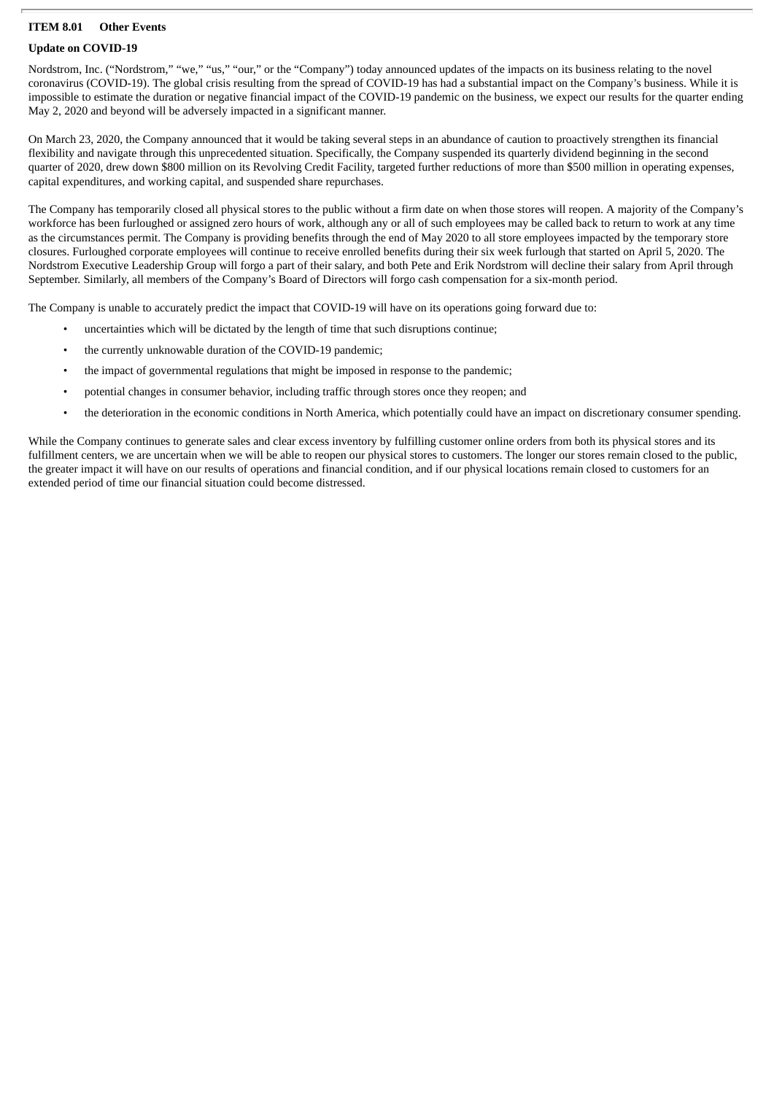## **ITEM 8.01 Other Events**

# **Update on COVID-19**

Nordstrom, Inc. ("Nordstrom," "we," "us," "our," or the "Company") today announced updates of the impacts on its business relating to the novel coronavirus (COVID-19). The global crisis resulting from the spread of COVID-19 has had a substantial impact on the Company's business. While it is impossible to estimate the duration or negative financial impact of the COVID-19 pandemic on the business, we expect our results for the quarter ending May 2, 2020 and beyond will be adversely impacted in a significant manner.

On March 23, 2020, the Company announced that it would be taking several steps in an abundance of caution to proactively strengthen its financial flexibility and navigate through this unprecedented situation. Specifically, the Company suspended its quarterly dividend beginning in the second quarter of 2020, drew down \$800 million on its Revolving Credit Facility, targeted further reductions of more than \$500 million in operating expenses, capital expenditures, and working capital, and suspended share repurchases.

The Company has temporarily closed all physical stores to the public without a firm date on when those stores will reopen. A majority of the Company's workforce has been furloughed or assigned zero hours of work, although any or all of such employees may be called back to return to work at any time as the circumstances permit. The Company is providing benefits through the end of May 2020 to all store employees impacted by the temporary store closures. Furloughed corporate employees will continue to receive enrolled benefits during their six week furlough that started on April 5, 2020. The Nordstrom Executive Leadership Group will forgo a part of their salary, and both Pete and Erik Nordstrom will decline their salary from April through September. Similarly, all members of the Company's Board of Directors will forgo cash compensation for a six-month period.

The Company is unable to accurately predict the impact that COVID-19 will have on its operations going forward due to:

- uncertainties which will be dictated by the length of time that such disruptions continue;
- the currently unknowable duration of the COVID-19 pandemic;
- the impact of governmental regulations that might be imposed in response to the pandemic;
- potential changes in consumer behavior, including traffic through stores once they reopen; and
- the deterioration in the economic conditions in North America, which potentially could have an impact on discretionary consumer spending.

While the Company continues to generate sales and clear excess inventory by fulfilling customer online orders from both its physical stores and its fulfillment centers, we are uncertain when we will be able to reopen our physical stores to customers. The longer our stores remain closed to the public, the greater impact it will have on our results of operations and financial condition, and if our physical locations remain closed to customers for an extended period of time our financial situation could become distressed.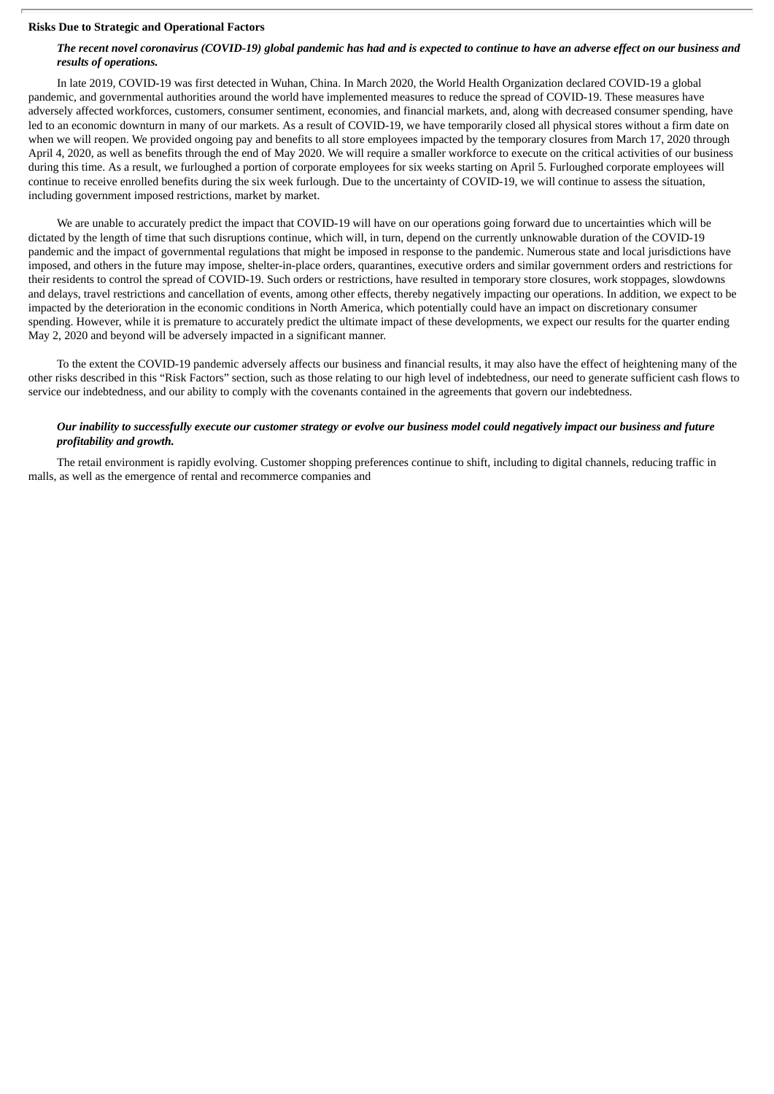#### **Risks Due to Strategic and Operational Factors**

## The recent novel coronavirus (COVID-19) alobal pandemic has had and is expected to continue to have an adverse effect on our business and *results of operations.*

In late 2019, COVID-19 was first detected in Wuhan, China. In March 2020, the World Health Organization declared COVID-19 a global pandemic, and governmental authorities around the world have implemented measures to reduce the spread of COVID-19. These measures have adversely affected workforces, customers, consumer sentiment, economies, and financial markets, and, along with decreased consumer spending, have led to an economic downturn in many of our markets. As a result of COVID-19, we have temporarily closed all physical stores without a firm date on when we will reopen. We provided ongoing pay and benefits to all store employees impacted by the temporary closures from March 17, 2020 through April 4, 2020, as well as benefits through the end of May 2020. We will require a smaller workforce to execute on the critical activities of our business during this time. As a result, we furloughed a portion of corporate employees for six weeks starting on April 5. Furloughed corporate employees will continue to receive enrolled benefits during the six week furlough. Due to the uncertainty of COVID-19, we will continue to assess the situation, including government imposed restrictions, market by market.

We are unable to accurately predict the impact that COVID-19 will have on our operations going forward due to uncertainties which will be dictated by the length of time that such disruptions continue, which will, in turn, depend on the currently unknowable duration of the COVID-19 pandemic and the impact of governmental regulations that might be imposed in response to the pandemic. Numerous state and local jurisdictions have imposed, and others in the future may impose, shelter-in-place orders, quarantines, executive orders and similar government orders and restrictions for their residents to control the spread of COVID-19. Such orders or restrictions, have resulted in temporary store closures, work stoppages, slowdowns and delays, travel restrictions and cancellation of events, among other effects, thereby negatively impacting our operations. In addition, we expect to be impacted by the deterioration in the economic conditions in North America, which potentially could have an impact on discretionary consumer spending. However, while it is premature to accurately predict the ultimate impact of these developments, we expect our results for the quarter ending May 2, 2020 and beyond will be adversely impacted in a significant manner.

To the extent the COVID-19 pandemic adversely affects our business and financial results, it may also have the effect of heightening many of the other risks described in this "Risk Factors" section, such as those relating to our high level of indebtedness, our need to generate sufficient cash flows to service our indebtedness, and our ability to comply with the covenants contained in the agreements that govern our indebtedness.

## Our inability to successfully execute our customer strateay or evolve our business model could negatively impact our business and future *profitability and growth.*

The retail environment is rapidly evolving. Customer shopping preferences continue to shift, including to digital channels, reducing traffic in malls, as well as the emergence of rental and recommerce companies and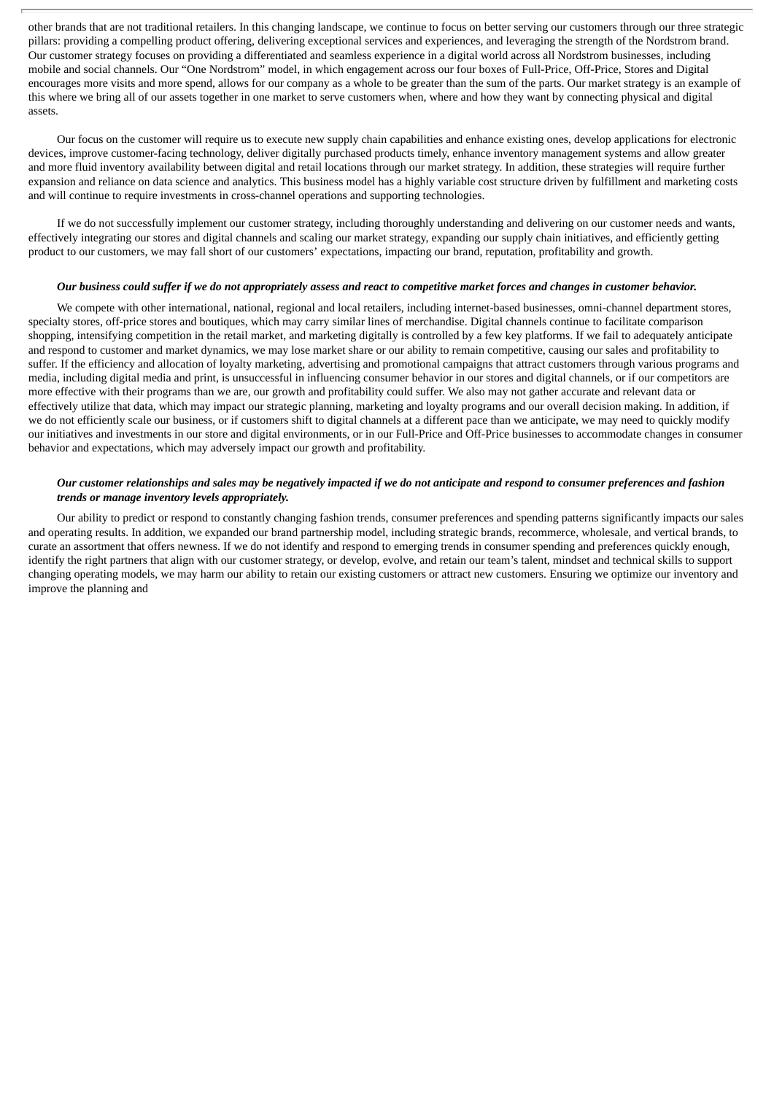other brands that are not traditional retailers. In this changing landscape, we continue to focus on better serving our customers through our three strategic pillars: providing a compelling product offering, delivering exceptional services and experiences, and leveraging the strength of the Nordstrom brand. Our customer strategy focuses on providing a differentiated and seamless experience in a digital world across all Nordstrom businesses, including mobile and social channels. Our "One Nordstrom" model, in which engagement across our four boxes of Full-Price, Off-Price, Stores and Digital encourages more visits and more spend, allows for our company as a whole to be greater than the sum of the parts. Our market strategy is an example of this where we bring all of our assets together in one market to serve customers when, where and how they want by connecting physical and digital assets.

Our focus on the customer will require us to execute new supply chain capabilities and enhance existing ones, develop applications for electronic devices, improve customer-facing technology, deliver digitally purchased products timely, enhance inventory management systems and allow greater and more fluid inventory availability between digital and retail locations through our market strategy. In addition, these strategies will require further expansion and reliance on data science and analytics. This business model has a highly variable cost structure driven by fulfillment and marketing costs and will continue to require investments in cross-channel operations and supporting technologies.

If we do not successfully implement our customer strategy, including thoroughly understanding and delivering on our customer needs and wants, effectively integrating our stores and digital channels and scaling our market strategy, expanding our supply chain initiatives, and efficiently getting product to our customers, we may fall short of our customers' expectations, impacting our brand, reputation, profitability and growth.

#### Our business could suffer if we do not appropriately assess and react to competitive market forces and changes in customer behavior.

We compete with other international, national, regional and local retailers, including internet-based businesses, omni-channel department stores, specialty stores, off-price stores and boutiques, which may carry similar lines of merchandise. Digital channels continue to facilitate comparison shopping, intensifying competition in the retail market, and marketing digitally is controlled by a few key platforms. If we fail to adequately anticipate and respond to customer and market dynamics, we may lose market share or our ability to remain competitive, causing our sales and profitability to suffer. If the efficiency and allocation of loyalty marketing, advertising and promotional campaigns that attract customers through various programs and media, including digital media and print, is unsuccessful in influencing consumer behavior in our stores and digital channels, or if our competitors are more effective with their programs than we are, our growth and profitability could suffer. We also may not gather accurate and relevant data or effectively utilize that data, which may impact our strategic planning, marketing and loyalty programs and our overall decision making. In addition, if we do not efficiently scale our business, or if customers shift to digital channels at a different pace than we anticipate, we may need to quickly modify our initiatives and investments in our store and digital environments, or in our Full-Price and Off-Price businesses to accommodate changes in consumer behavior and expectations, which may adversely impact our growth and profitability.

## Our customer relationships and sales may be negatively impacted if we do not anticipate and respond to consumer preferences and fashion *trends or manage inventory levels appropriately.*

Our ability to predict or respond to constantly changing fashion trends, consumer preferences and spending patterns significantly impacts our sales and operating results. In addition, we expanded our brand partnership model, including strategic brands, recommerce, wholesale, and vertical brands, to curate an assortment that offers newness. If we do not identify and respond to emerging trends in consumer spending and preferences quickly enough, identify the right partners that align with our customer strategy, or develop, evolve, and retain our team's talent, mindset and technical skills to support changing operating models, we may harm our ability to retain our existing customers or attract new customers. Ensuring we optimize our inventory and improve the planning and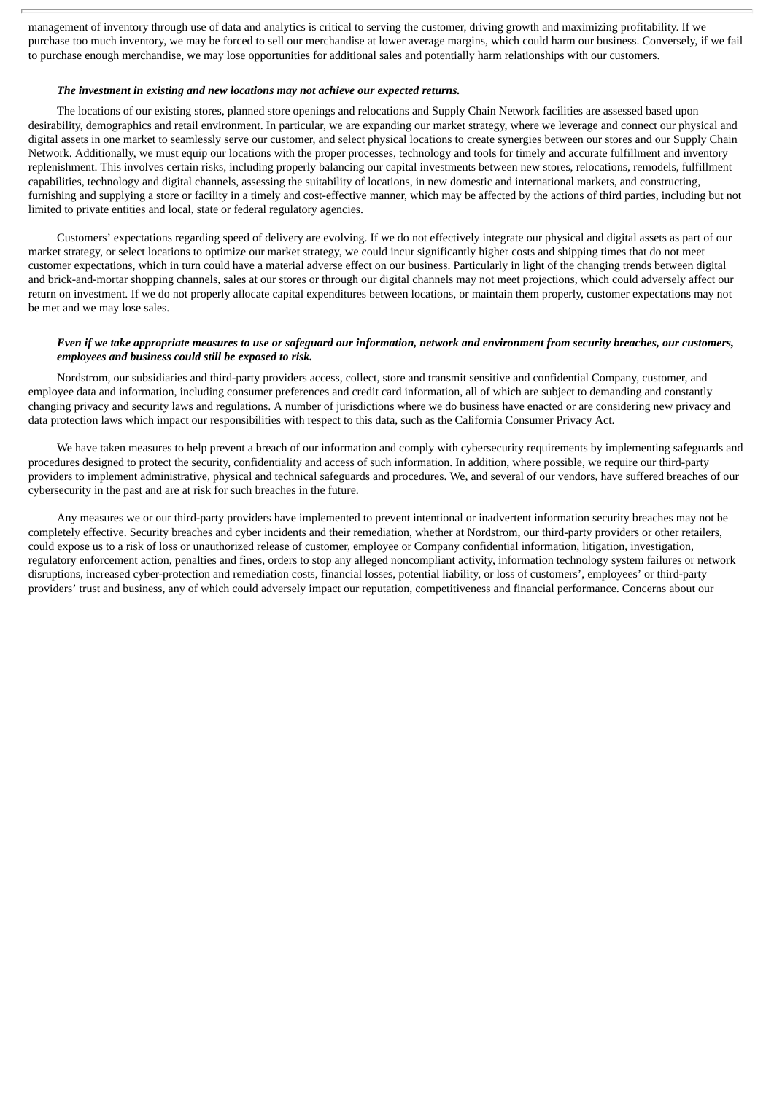management of inventory through use of data and analytics is critical to serving the customer, driving growth and maximizing profitability. If we purchase too much inventory, we may be forced to sell our merchandise at lower average margins, which could harm our business. Conversely, if we fail to purchase enough merchandise, we may lose opportunities for additional sales and potentially harm relationships with our customers.

#### *The investment in existing and new locations may not achieve our expected returns.*

The locations of our existing stores, planned store openings and relocations and Supply Chain Network facilities are assessed based upon desirability, demographics and retail environment. In particular, we are expanding our market strategy, where we leverage and connect our physical and digital assets in one market to seamlessly serve our customer, and select physical locations to create synergies between our stores and our Supply Chain Network. Additionally, we must equip our locations with the proper processes, technology and tools for timely and accurate fulfillment and inventory replenishment. This involves certain risks, including properly balancing our capital investments between new stores, relocations, remodels, fulfillment capabilities, technology and digital channels, assessing the suitability of locations, in new domestic and international markets, and constructing, furnishing and supplying a store or facility in a timely and cost-effective manner, which may be affected by the actions of third parties, including but not limited to private entities and local, state or federal regulatory agencies.

Customers' expectations regarding speed of delivery are evolving. If we do not effectively integrate our physical and digital assets as part of our market strategy, or select locations to optimize our market strategy, we could incur significantly higher costs and shipping times that do not meet customer expectations, which in turn could have a material adverse effect on our business. Particularly in light of the changing trends between digital and brick-and-mortar shopping channels, sales at our stores or through our digital channels may not meet projections, which could adversely affect our return on investment. If we do not properly allocate capital expenditures between locations, or maintain them properly, customer expectations may not be met and we may lose sales.

### Even if we take appropriate measures to use or safequard our information, network and environment from security breaches, our customers, *employees and business could still be exposed to risk.*

Nordstrom, our subsidiaries and third-party providers access, collect, store and transmit sensitive and confidential Company, customer, and employee data and information, including consumer preferences and credit card information, all of which are subject to demanding and constantly changing privacy and security laws and regulations. A number of jurisdictions where we do business have enacted or are considering new privacy and data protection laws which impact our responsibilities with respect to this data, such as the California Consumer Privacy Act.

We have taken measures to help prevent a breach of our information and comply with cybersecurity requirements by implementing safeguards and procedures designed to protect the security, confidentiality and access of such information. In addition, where possible, we require our third-party providers to implement administrative, physical and technical safeguards and procedures. We, and several of our vendors, have suffered breaches of our cybersecurity in the past and are at risk for such breaches in the future.

Any measures we or our third-party providers have implemented to prevent intentional or inadvertent information security breaches may not be completely effective. Security breaches and cyber incidents and their remediation, whether at Nordstrom, our third-party providers or other retailers, could expose us to a risk of loss or unauthorized release of customer, employee or Company confidential information, litigation, investigation, regulatory enforcement action, penalties and fines, orders to stop any alleged noncompliant activity, information technology system failures or network disruptions, increased cyber-protection and remediation costs, financial losses, potential liability, or loss of customers', employees' or third-party providers' trust and business, any of which could adversely impact our reputation, competitiveness and financial performance. Concerns about our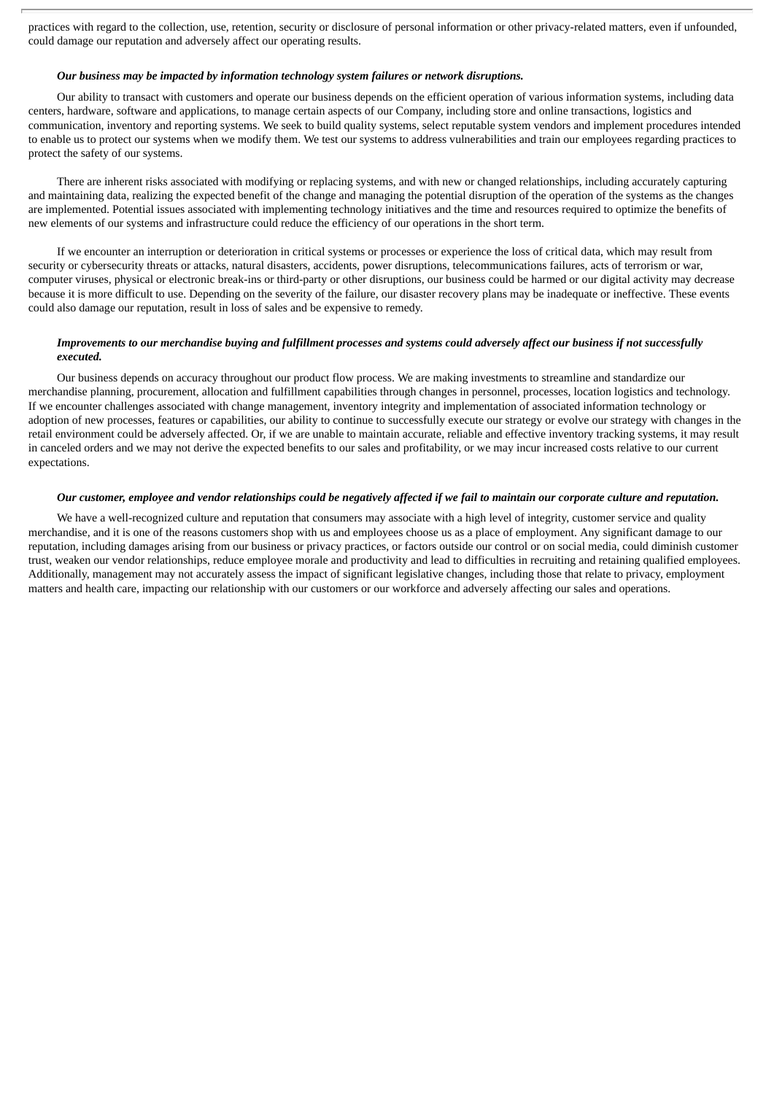practices with regard to the collection, use, retention, security or disclosure of personal information or other privacy-related matters, even if unfounded, could damage our reputation and adversely affect our operating results.

## *Our business may be impacted by information technology system failures or network disruptions.*

Our ability to transact with customers and operate our business depends on the efficient operation of various information systems, including data centers, hardware, software and applications, to manage certain aspects of our Company, including store and online transactions, logistics and communication, inventory and reporting systems. We seek to build quality systems, select reputable system vendors and implement procedures intended to enable us to protect our systems when we modify them. We test our systems to address vulnerabilities and train our employees regarding practices to protect the safety of our systems.

There are inherent risks associated with modifying or replacing systems, and with new or changed relationships, including accurately capturing and maintaining data, realizing the expected benefit of the change and managing the potential disruption of the operation of the systems as the changes are implemented. Potential issues associated with implementing technology initiatives and the time and resources required to optimize the benefits of new elements of our systems and infrastructure could reduce the efficiency of our operations in the short term.

If we encounter an interruption or deterioration in critical systems or processes or experience the loss of critical data, which may result from security or cybersecurity threats or attacks, natural disasters, accidents, power disruptions, telecommunications failures, acts of terrorism or war, computer viruses, physical or electronic break-ins or third-party or other disruptions, our business could be harmed or our digital activity may decrease because it is more difficult to use. Depending on the severity of the failure, our disaster recovery plans may be inadequate or ineffective. These events could also damage our reputation, result in loss of sales and be expensive to remedy.

## Improvements to our merchandise buying and fulfillment processes and systems could adversely affect our business if not successfully *executed.*

Our business depends on accuracy throughout our product flow process. We are making investments to streamline and standardize our merchandise planning, procurement, allocation and fulfillment capabilities through changes in personnel, processes, location logistics and technology. If we encounter challenges associated with change management, inventory integrity and implementation of associated information technology or adoption of new processes, features or capabilities, our ability to continue to successfully execute our strategy or evolve our strategy with changes in the retail environment could be adversely affected. Or, if we are unable to maintain accurate, reliable and effective inventory tracking systems, it may result in canceled orders and we may not derive the expected benefits to our sales and profitability, or we may incur increased costs relative to our current expectations.

#### Our customer, employee and vendor relationships could be negatively affected if we fail to maintain our corporate culture and reputation.

We have a well-recognized culture and reputation that consumers may associate with a high level of integrity, customer service and quality merchandise, and it is one of the reasons customers shop with us and employees choose us as a place of employment. Any significant damage to our reputation, including damages arising from our business or privacy practices, or factors outside our control or on social media, could diminish customer trust, weaken our vendor relationships, reduce employee morale and productivity and lead to difficulties in recruiting and retaining qualified employees. Additionally, management may not accurately assess the impact of significant legislative changes, including those that relate to privacy, employment matters and health care, impacting our relationship with our customers or our workforce and adversely affecting our sales and operations.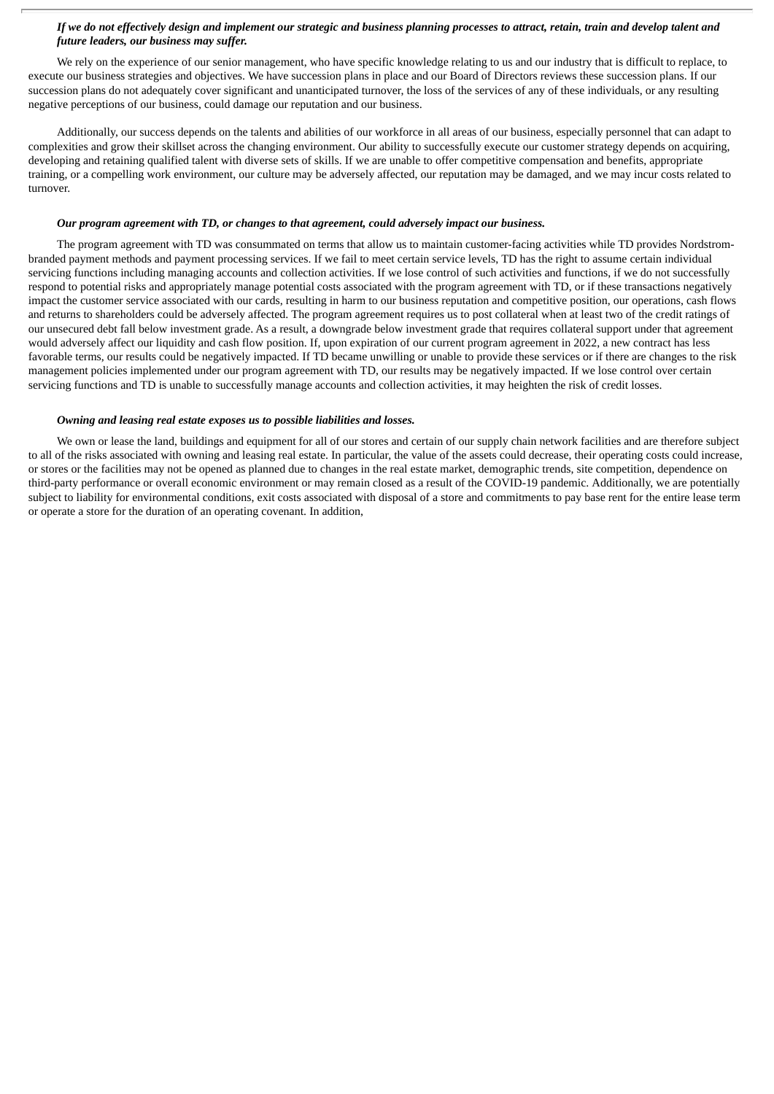#### If we do not effectively design and implement our strategic and business planning processes to attract, retain, train and develop talent and *future leaders, our business may suffer.*

We rely on the experience of our senior management, who have specific knowledge relating to us and our industry that is difficult to replace, to execute our business strategies and objectives. We have succession plans in place and our Board of Directors reviews these succession plans. If our succession plans do not adequately cover significant and unanticipated turnover, the loss of the services of any of these individuals, or any resulting negative perceptions of our business, could damage our reputation and our business.

Additionally, our success depends on the talents and abilities of our workforce in all areas of our business, especially personnel that can adapt to complexities and grow their skillset across the changing environment. Our ability to successfully execute our customer strategy depends on acquiring, developing and retaining qualified talent with diverse sets of skills. If we are unable to offer competitive compensation and benefits, appropriate training, or a compelling work environment, our culture may be adversely affected, our reputation may be damaged, and we may incur costs related to turnover.

#### *Our program agreement with TD, or changes to that agreement, could adversely impact our business.*

The program agreement with TD was consummated on terms that allow us to maintain customer-facing activities while TD provides Nordstrombranded payment methods and payment processing services. If we fail to meet certain service levels, TD has the right to assume certain individual servicing functions including managing accounts and collection activities. If we lose control of such activities and functions, if we do not successfully respond to potential risks and appropriately manage potential costs associated with the program agreement with TD, or if these transactions negatively impact the customer service associated with our cards, resulting in harm to our business reputation and competitive position, our operations, cash flows and returns to shareholders could be adversely affected. The program agreement requires us to post collateral when at least two of the credit ratings of our unsecured debt fall below investment grade. As a result, a downgrade below investment grade that requires collateral support under that agreement would adversely affect our liquidity and cash flow position. If, upon expiration of our current program agreement in 2022, a new contract has less favorable terms, our results could be negatively impacted. If TD became unwilling or unable to provide these services or if there are changes to the risk management policies implemented under our program agreement with TD, our results may be negatively impacted. If we lose control over certain servicing functions and TD is unable to successfully manage accounts and collection activities, it may heighten the risk of credit losses.

#### *Owning and leasing real estate exposes us to possible liabilities and losses.*

We own or lease the land, buildings and equipment for all of our stores and certain of our supply chain network facilities and are therefore subject to all of the risks associated with owning and leasing real estate. In particular, the value of the assets could decrease, their operating costs could increase, or stores or the facilities may not be opened as planned due to changes in the real estate market, demographic trends, site competition, dependence on third-party performance or overall economic environment or may remain closed as a result of the COVID-19 pandemic. Additionally, we are potentially subject to liability for environmental conditions, exit costs associated with disposal of a store and commitments to pay base rent for the entire lease term or operate a store for the duration of an operating covenant. In addition,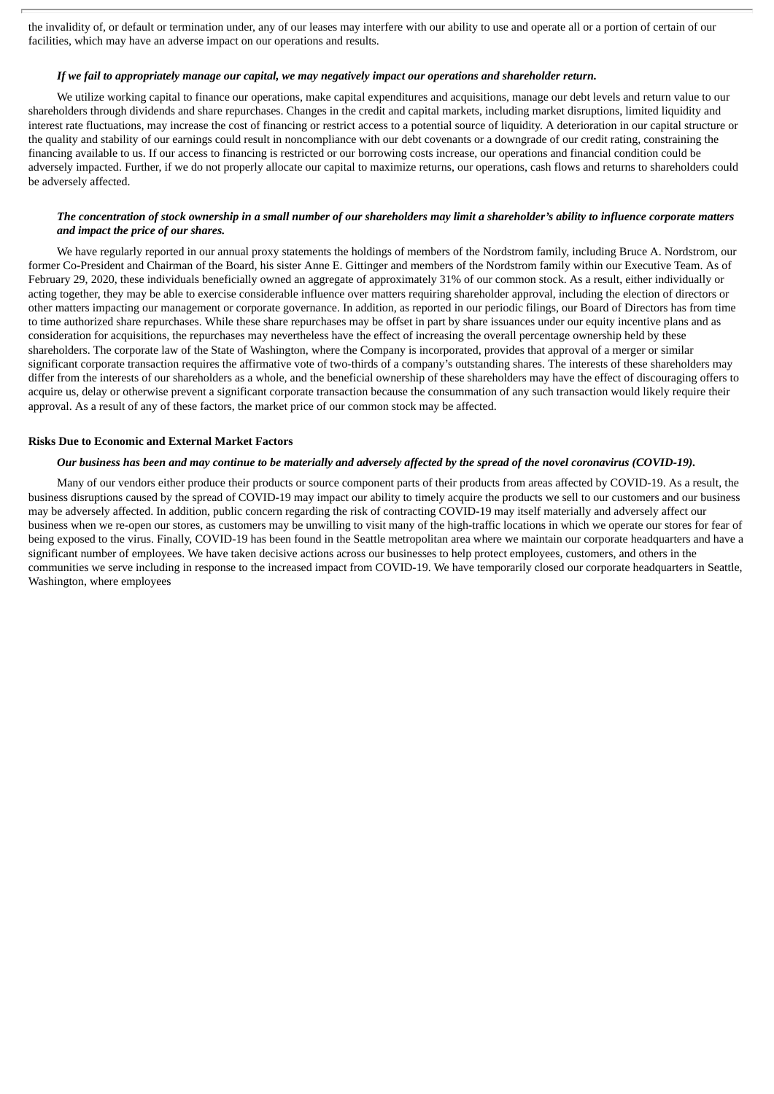the invalidity of, or default or termination under, any of our leases may interfere with our ability to use and operate all or a portion of certain of our facilities, which may have an adverse impact on our operations and results.

## If we fail to appropriately manage our capital, we may negatively impact our operations and shareholder return.

We utilize working capital to finance our operations, make capital expenditures and acquisitions, manage our debt levels and return value to our shareholders through dividends and share repurchases. Changes in the credit and capital markets, including market disruptions, limited liquidity and interest rate fluctuations, may increase the cost of financing or restrict access to a potential source of liquidity. A deterioration in our capital structure or the quality and stability of our earnings could result in noncompliance with our debt covenants or a downgrade of our credit rating, constraining the financing available to us. If our access to financing is restricted or our borrowing costs increase, our operations and financial condition could be adversely impacted. Further, if we do not properly allocate our capital to maximize returns, our operations, cash flows and returns to shareholders could be adversely affected.

## The concentration of stock ownership in a small number of our shareholders may limit a shareholder's ability to influence corporate matters *and impact the price of our shares.*

We have regularly reported in our annual proxy statements the holdings of members of the Nordstrom family, including Bruce A. Nordstrom, our former Co-President and Chairman of the Board, his sister Anne E. Gittinger and members of the Nordstrom family within our Executive Team. As of February 29, 2020, these individuals beneficially owned an aggregate of approximately 31% of our common stock. As a result, either individually or acting together, they may be able to exercise considerable influence over matters requiring shareholder approval, including the election of directors or other matters impacting our management or corporate governance. In addition, as reported in our periodic filings, our Board of Directors has from time to time authorized share repurchases. While these share repurchases may be offset in part by share issuances under our equity incentive plans and as consideration for acquisitions, the repurchases may nevertheless have the effect of increasing the overall percentage ownership held by these shareholders. The corporate law of the State of Washington, where the Company is incorporated, provides that approval of a merger or similar significant corporate transaction requires the affirmative vote of two-thirds of a company's outstanding shares. The interests of these shareholders may differ from the interests of our shareholders as a whole, and the beneficial ownership of these shareholders may have the effect of discouraging offers to acquire us, delay or otherwise prevent a significant corporate transaction because the consummation of any such transaction would likely require their approval. As a result of any of these factors, the market price of our common stock may be affected.

#### **Risks Due to Economic and External Market Factors**

## Our business has been and may continue to be materially and adversely affected by the spread of the novel coronavirus (COVID-19).

Many of our vendors either produce their products or source component parts of their products from areas affected by COVID-19. As a result, the business disruptions caused by the spread of COVID-19 may impact our ability to timely acquire the products we sell to our customers and our business may be adversely affected. In addition, public concern regarding the risk of contracting COVID-19 may itself materially and adversely affect our business when we re-open our stores, as customers may be unwilling to visit many of the high-traffic locations in which we operate our stores for fear of being exposed to the virus. Finally, COVID-19 has been found in the Seattle metropolitan area where we maintain our corporate headquarters and have a significant number of employees. We have taken decisive actions across our businesses to help protect employees, customers, and others in the communities we serve including in response to the increased impact from COVID-19. We have temporarily closed our corporate headquarters in Seattle, Washington, where employees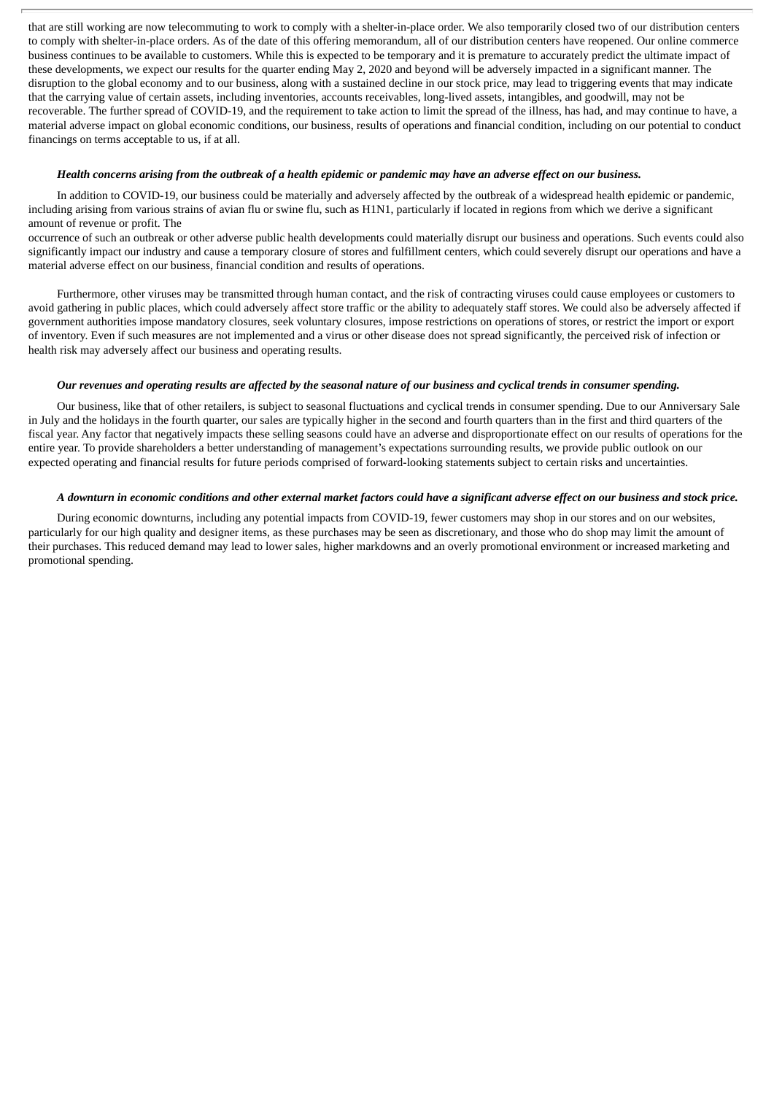that are still working are now telecommuting to work to comply with a shelter-in-place order. We also temporarily closed two of our distribution centers to comply with shelter-in-place orders. As of the date of this offering memorandum, all of our distribution centers have reopened. Our online commerce business continues to be available to customers. While this is expected to be temporary and it is premature to accurately predict the ultimate impact of these developments, we expect our results for the quarter ending May 2, 2020 and beyond will be adversely impacted in a significant manner. The disruption to the global economy and to our business, along with a sustained decline in our stock price, may lead to triggering events that may indicate that the carrying value of certain assets, including inventories, accounts receivables, long-lived assets, intangibles, and goodwill, may not be recoverable. The further spread of COVID-19, and the requirement to take action to limit the spread of the illness, has had, and may continue to have, a material adverse impact on global economic conditions, our business, results of operations and financial condition, including on our potential to conduct financings on terms acceptable to us, if at all.

#### Health concerns arising from the outbreak of a health epidemic or pandemic may have an adverse effect on our business.

In addition to COVID-19, our business could be materially and adversely affected by the outbreak of a widespread health epidemic or pandemic, including arising from various strains of avian flu or swine flu, such as H1N1, particularly if located in regions from which we derive a significant amount of revenue or profit. The

occurrence of such an outbreak or other adverse public health developments could materially disrupt our business and operations. Such events could also significantly impact our industry and cause a temporary closure of stores and fulfillment centers, which could severely disrupt our operations and have a material adverse effect on our business, financial condition and results of operations.

Furthermore, other viruses may be transmitted through human contact, and the risk of contracting viruses could cause employees or customers to avoid gathering in public places, which could adversely affect store traffic or the ability to adequately staff stores. We could also be adversely affected if government authorities impose mandatory closures, seek voluntary closures, impose restrictions on operations of stores, or restrict the import or export of inventory. Even if such measures are not implemented and a virus or other disease does not spread significantly, the perceived risk of infection or health risk may adversely affect our business and operating results.

## Our revenues and operating results are affected by the seasonal nature of our business and cyclical trends in consumer spending.

Our business, like that of other retailers, is subject to seasonal fluctuations and cyclical trends in consumer spending. Due to our Anniversary Sale in July and the holidays in the fourth quarter, our sales are typically higher in the second and fourth quarters than in the first and third quarters of the fiscal year. Any factor that negatively impacts these selling seasons could have an adverse and disproportionate effect on our results of operations for the entire year. To provide shareholders a better understanding of management's expectations surrounding results, we provide public outlook on our expected operating and financial results for future periods comprised of forward-looking statements subject to certain risks and uncertainties.

## A downturn in economic conditions and other external market factors could have a significant adverse effect on our business and stock price.

During economic downturns, including any potential impacts from COVID-19, fewer customers may shop in our stores and on our websites, particularly for our high quality and designer items, as these purchases may be seen as discretionary, and those who do shop may limit the amount of their purchases. This reduced demand may lead to lower sales, higher markdowns and an overly promotional environment or increased marketing and promotional spending.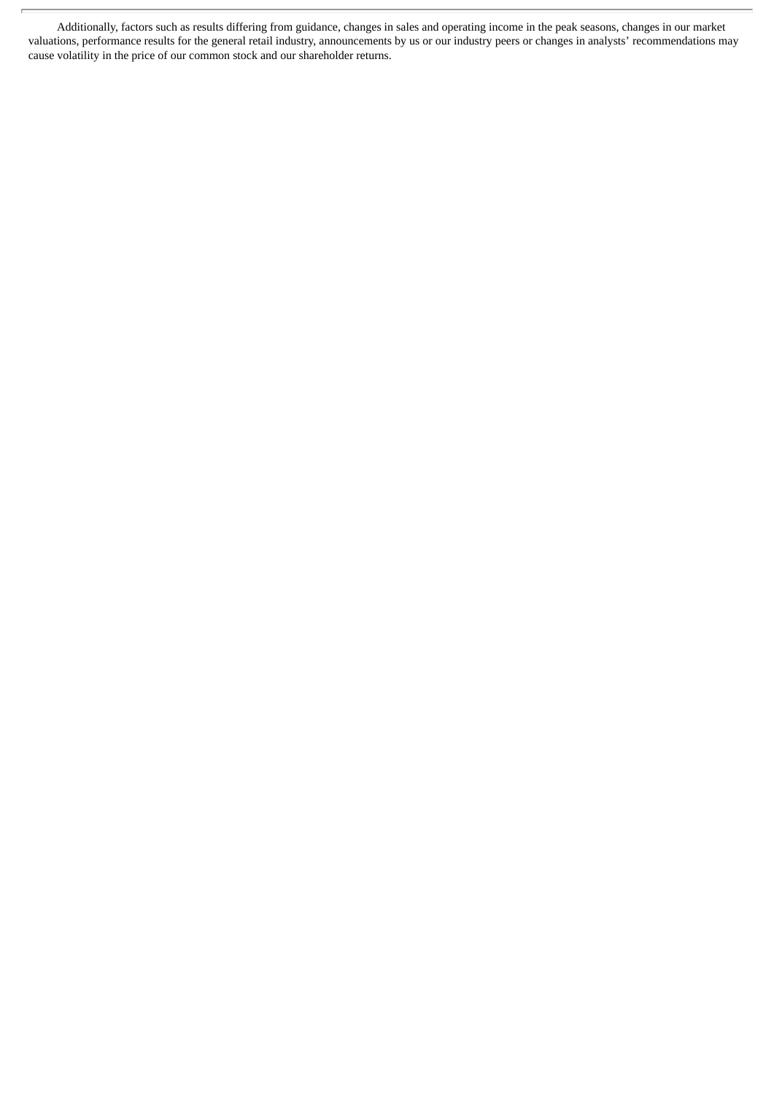Additionally, factors such as results differing from guidance, changes in sales and operating income in the peak seasons, changes in our market valuations, performance results for the general retail industry, announcements by us or our industry peers or changes in analysts' recommendations may cause volatility in the price of our common stock and our shareholder returns.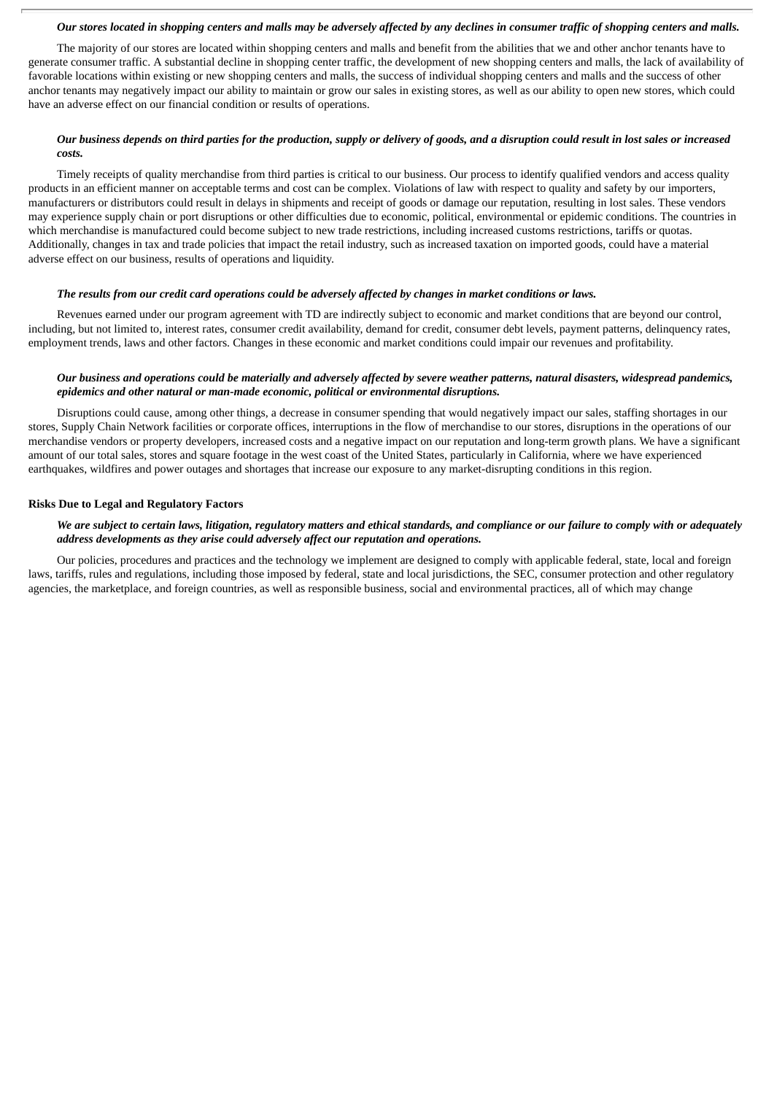#### Our stores located in shopping centers and malls may be adversely affected by any declines in consumer traffic of shopping centers and malls.

The majority of our stores are located within shopping centers and malls and benefit from the abilities that we and other anchor tenants have to generate consumer traffic. A substantial decline in shopping center traffic, the development of new shopping centers and malls, the lack of availability of favorable locations within existing or new shopping centers and malls, the success of individual shopping centers and malls and the success of other anchor tenants may negatively impact our ability to maintain or grow our sales in existing stores, as well as our ability to open new stores, which could have an adverse effect on our financial condition or results of operations.

## Our business depends on third parties for the production, supply or delivery of goods, and a disruption could result in lost sales or increased *costs.*

Timely receipts of quality merchandise from third parties is critical to our business. Our process to identify qualified vendors and access quality products in an efficient manner on acceptable terms and cost can be complex. Violations of law with respect to quality and safety by our importers, manufacturers or distributors could result in delays in shipments and receipt of goods or damage our reputation, resulting in lost sales. These vendors may experience supply chain or port disruptions or other difficulties due to economic, political, environmental or epidemic conditions. The countries in which merchandise is manufactured could become subject to new trade restrictions, including increased customs restrictions, tariffs or quotas. Additionally, changes in tax and trade policies that impact the retail industry, such as increased taxation on imported goods, could have a material adverse effect on our business, results of operations and liquidity.

#### The results from our credit card operations could be adversely affected by changes in market conditions or laws.

Revenues earned under our program agreement with TD are indirectly subject to economic and market conditions that are beyond our control, including, but not limited to, interest rates, consumer credit availability, demand for credit, consumer debt levels, payment patterns, delinquency rates, employment trends, laws and other factors. Changes in these economic and market conditions could impair our revenues and profitability.

## Our business and operations could be materially and adversely affected by severe weather patterns, natural disasters, widespread pandemics, *epidemics and other natural or man-made economic, political or environmental disruptions.*

Disruptions could cause, among other things, a decrease in consumer spending that would negatively impact our sales, staffing shortages in our stores, Supply Chain Network facilities or corporate offices, interruptions in the flow of merchandise to our stores, disruptions in the operations of our merchandise vendors or property developers, increased costs and a negative impact on our reputation and long-term growth plans. We have a significant amount of our total sales, stores and square footage in the west coast of the United States, particularly in California, where we have experienced earthquakes, wildfires and power outages and shortages that increase our exposure to any market-disrupting conditions in this region.

#### **Risks Due to Legal and Regulatory Factors**

## We are subject to certain laws, litigation, regulatory matters and ethical standards, and compliance or our failure to comply with or adequately *address developments as they arise could adversely affect our reputation and operations.*

Our policies, procedures and practices and the technology we implement are designed to comply with applicable federal, state, local and foreign laws, tariffs, rules and regulations, including those imposed by federal, state and local jurisdictions, the SEC, consumer protection and other regulatory agencies, the marketplace, and foreign countries, as well as responsible business, social and environmental practices, all of which may change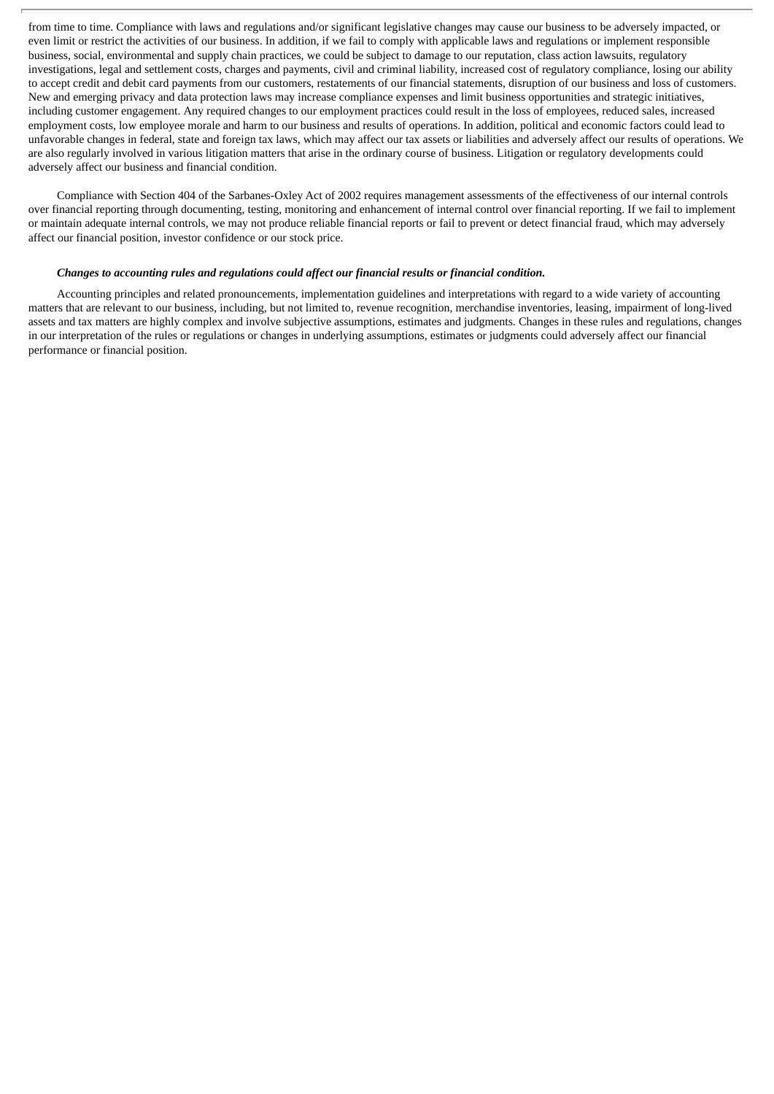from time to time. Compliance with laws and regulations and/or significant legislative changes may cause our business to be adversely impacted, or even limit or restrict the activities of our business. In addition, if we fail to comply with applicable laws and regulations or implement responsible business, social, environmental and supply chain practices, we could be subject to damage to our reputation, class action lawsuits, regulatory investigations, legal and settlement costs, charges and payments, civil and criminal liability, increased cost of regulatory compliance, losing our ability to accept credit and debit card payments from our customers, restatements of our financial statements, disruption of our business and loss of customers. New and emerging privacy and data protection laws may increase compliance expenses and limit business opportunities and strategic initiatives, including customer engagement. Any required changes to our employment practices could result in the loss of employees, reduced sales, increased employment costs, low employee morale and harm to our business and results of operations. In addition, political and economic factors could lead to unfavorable changes in federal, state and foreign tax laws, which may affect our tax assets or liabilities and adversely affect our results of operations. We are also regularly involved in various litigation matters that arise in the ordinary course of business. Litigation or regulatory developments could adversely affect our business and financial condition.

Compliance with Section 404 of the Sarbanes-Oxley Act of 2002 requires management assessments of the effectiveness of our internal controls over financial reporting through documenting, testing, monitoring and enhancement of internal control over financial reporting. If we fail to implement or maintain adequate internal controls, we may not produce reliable financial reports or fail to prevent or detect financial fraud, which may adversely affect our financial position, investor confidence or our stock price.

#### *Changes to accounting rules and regulations could affect our financial results or financial condition.*

Accounting principles and related pronouncements, implementation guidelines and interpretations with regard to a wide variety of accounting matters that are relevant to our business, including, but not limited to, revenue recognition, merchandise inventories, leasing, impairment of long-lived assets and tax matters are highly complex and involve subjective assumptions, estimates and judgments. Changes in these rules and regulations, changes in our interpretation of the rules or regulations or changes in underlying assumptions, estimates or judgments could adversely affect our financial performance or financial position.